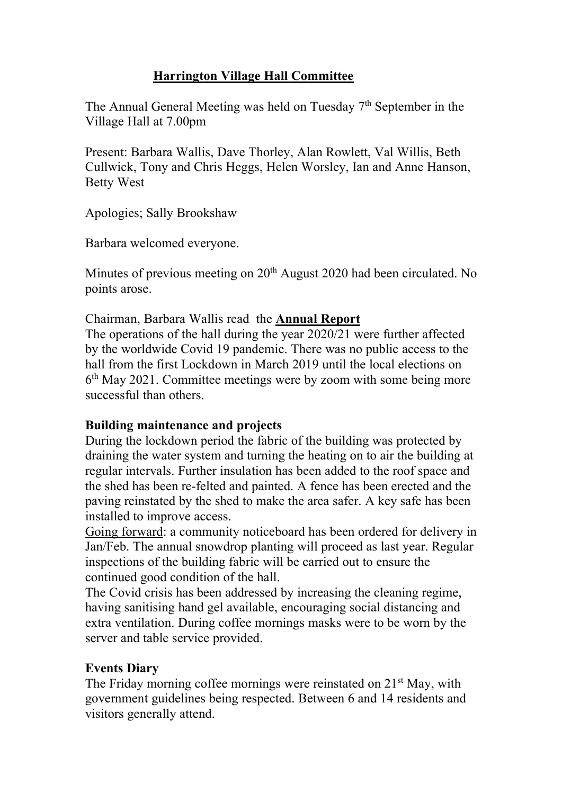# **Harrington Village Hall Committee**

The Annual General Meeting was held on Tuesday  $7<sup>th</sup>$  September in the Village Hall at 7.00pm

Present: Barbara Wallis, Dave Thorley, Alan Rowlett, Val Willis, Beth Cullwick, Tony and Chris Heggs, Helen Worsley, Ian and Anne Hanson, Betty West

Apologies; Sally Brookshaw

Barbara welcomed everyone.

Minutes of previous meeting on 20<sup>th</sup> August 2020 had been circulated. No points arose.

Chairman, Barbara Wallis read the **Annual Report**

The operations of the hall during the year 2020/21 were further affected by the worldwide Covid 19 pandemic. There was no public access to the hall from the first Lockdown in March 2019 until the local elections on 6th May 2021. Committee meetings were by zoom with some being more successful than others.

## **Building maintenance and projects**

During the lockdown period the fabric of the building was protected by draining the water system and turning the heating on to air the building at regular intervals. Further insulation has been added to the roof space and the shed has been re-felted and painted. A fence has been erected and the paving reinstated by the shed to make the area safer. A key safe has been installed to improve access.

Going forward: a community noticeboard has been ordered for delivery in Jan/Feb. The annual snowdrop planting will proceed as last year. Regular inspections of the building fabric will be carried out to ensure the continued good condition of the hall.

The Covid crisis has been addressed by increasing the cleaning regime, having sanitising hand gel available, encouraging social distancing and extra ventilation. During coffee mornings masks were to be worn by the server and table service provided.

## **Events Diary**

The Friday morning coffee mornings were reinstated on 21<sup>st</sup> May, with government guidelines being respected. Between 6 and 14 residents and visitors generally attend.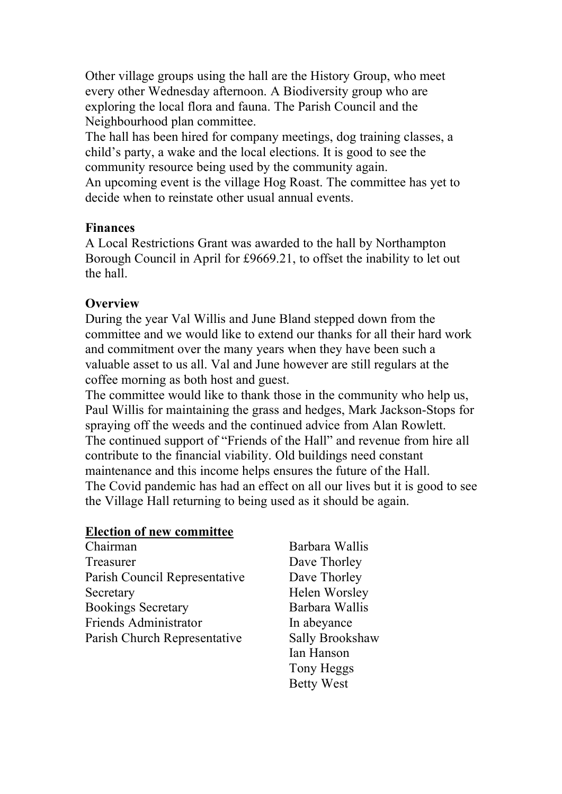Other village groups using the hall are the History Group, who meet every other Wednesday afternoon. A Biodiversity group who are exploring the local flora and fauna. The Parish Council and the Neighbourhood plan committee.

The hall has been hired for company meetings, dog training classes, a child's party, a wake and the local elections. It is good to see the community resource being used by the community again.

An upcoming event is the village Hog Roast. The committee has yet to decide when to reinstate other usual annual events.

### **Finances**

A Local Restrictions Grant was awarded to the hall by Northampton Borough Council in April for £9669.21, to offset the inability to let out the hall.

### **Overview**

During the year Val Willis and June Bland stepped down from the committee and we would like to extend our thanks for all their hard work and commitment over the many years when they have been such a valuable asset to us all. Val and June however are still regulars at the coffee morning as both host and guest.

The committee would like to thank those in the community who help us, Paul Willis for maintaining the grass and hedges, Mark Jackson-Stops for spraying off the weeds and the continued advice from Alan Rowlett. The continued support of "Friends of the Hall" and revenue from hire all contribute to the financial viability. Old buildings need constant maintenance and this income helps ensures the future of the Hall. The Covid pandemic has had an effect on all our lives but it is good to see the Village Hall returning to being used as it should be again.

#### **Election of new committee**

- Chairman Barbara Wallis Treasurer Dave Thorley Parish Council Representative Dave Thorley Secretary Helen Worsley Bookings Secretary Barbara Wallis Friends Administrator In abevance Parish Church Representative Sally Brookshaw
- Ian Hanson Tony Heggs Betty West